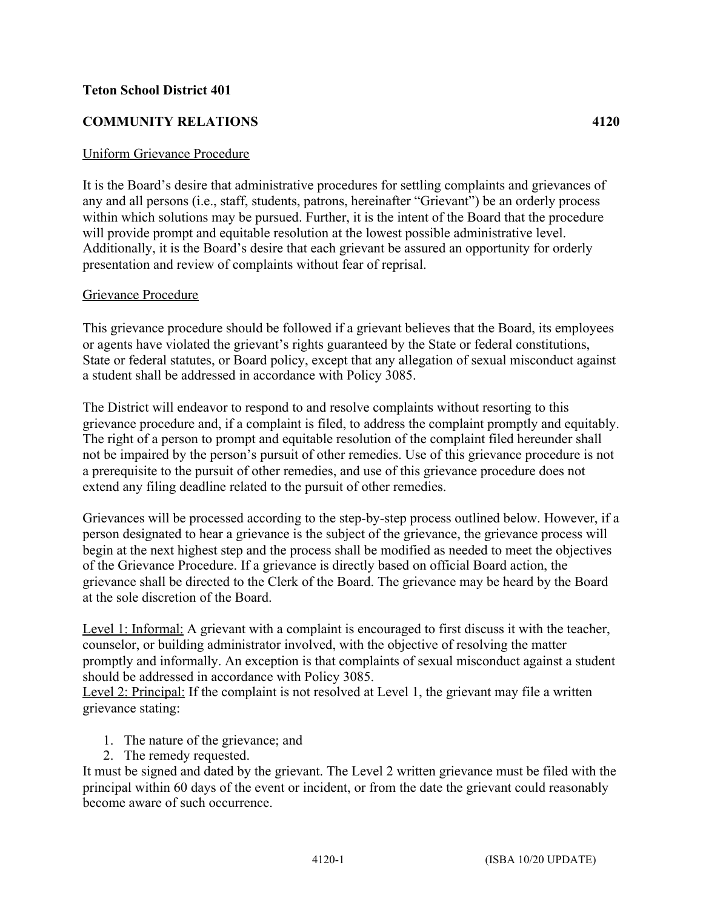## **Teton School District 401**

## **COMMUNITY RELATIONS 4120**

## Uniform Grievance Procedure

It is the Board's desire that administrative procedures for settling complaints and grievances of any and all persons (i.e., staff, students, patrons, hereinafter "Grievant") be an orderly process within which solutions may be pursued. Further, it is the intent of the Board that the procedure will provide prompt and equitable resolution at the lowest possible administrative level. Additionally, it is the Board's desire that each grievant be assured an opportunity for orderly presentation and review of complaints without fear of reprisal.

## Grievance Procedure

This grievance procedure should be followed if a grievant believes that the Board, its employees or agents have violated the grievant's rights guaranteed by the State or federal constitutions, State or federal statutes, or Board policy, except that any allegation of sexual misconduct against a student shall be addressed in accordance with Policy 3085.

The District will endeavor to respond to and resolve complaints without resorting to this grievance procedure and, if a complaint is filed, to address the complaint promptly and equitably. The right of a person to prompt and equitable resolution of the complaint filed hereunder shall not be impaired by the person's pursuit of other remedies. Use of this grievance procedure is not a prerequisite to the pursuit of other remedies, and use of this grievance procedure does not extend any filing deadline related to the pursuit of other remedies.

Grievances will be processed according to the step-by-step process outlined below. However, if a person designated to hear a grievance is the subject of the grievance, the grievance process will begin at the next highest step and the process shall be modified as needed to meet the objectives of the Grievance Procedure. If a grievance is directly based on official Board action, the grievance shall be directed to the Clerk of the Board. The grievance may be heard by the Board at the sole discretion of the Board.

Level 1: Informal: A grievant with a complaint is encouraged to first discuss it with the teacher, counselor, or building administrator involved, with the objective of resolving the matter promptly and informally. An exception is that complaints of sexual misconduct against a student should be addressed in accordance with Policy 3085.

Level 2: Principal: If the complaint is not resolved at Level 1, the grievant may file a written grievance stating:

- 1. The nature of the grievance; and
- 2. The remedy requested.

It must be signed and dated by the grievant. The Level 2 written grievance must be filed with the principal within 60 days of the event or incident, or from the date the grievant could reasonably become aware of such occurrence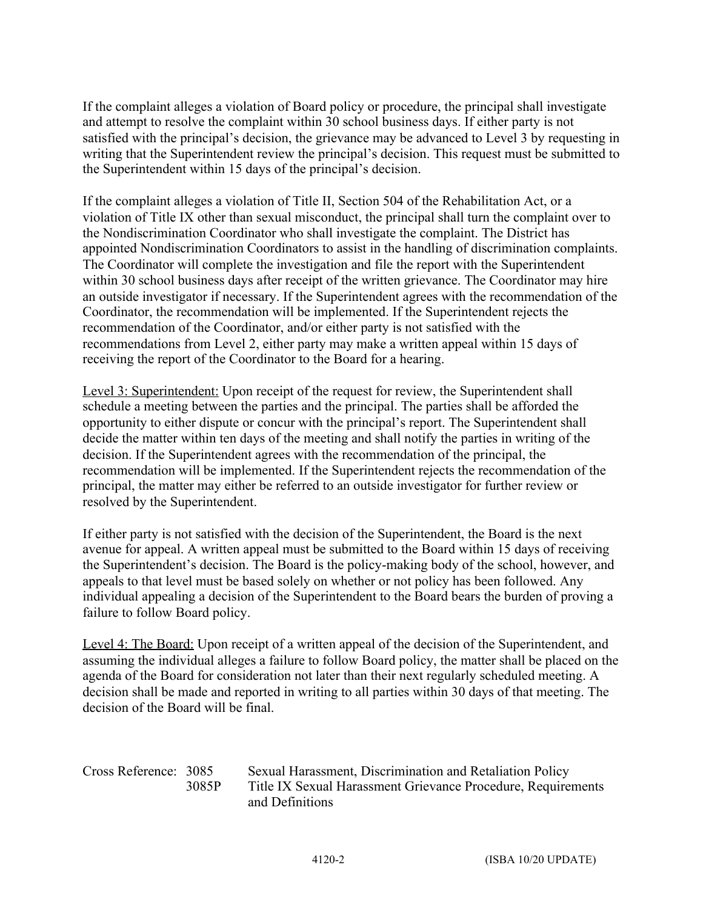If the complaint alleges a violation of Board policy or procedure, the principal shall investigate and attempt to resolve the complaint within 30 school business days. If either party is not satisfied with the principal's decision, the grievance may be advanced to Level 3 by requesting in writing that the Superintendent review the principal's decision. This request must be submitted to the Superintendent within 15 days of the principal's decision.

If the complaint alleges a violation of Title II, Section 504 of the Rehabilitation Act, or a violation of Title IX other than sexual misconduct, the principal shall turn the complaint over to the Nondiscrimination Coordinator who shall investigate the complaint. The District has appointed Nondiscrimination Coordinators to assist in the handling of discrimination complaints. The Coordinator will complete the investigation and file the report with the Superintendent within 30 school business days after receipt of the written grievance. The Coordinator may hire an outside investigator if necessary. If the Superintendent agrees with the recommendation of the Coordinator, the recommendation will be implemented. If the Superintendent rejects the recommendation of the Coordinator, and/or either party is not satisfied with the recommendations from Level 2, either party may make a written appeal within 15 days of receiving the report of the Coordinator to the Board for a hearing.

Level 3: Superintendent: Upon receipt of the request for review, the Superintendent shall schedule a meeting between the parties and the principal. The parties shall be afforded the opportunity to either dispute or concur with the principal's report. The Superintendent shall decide the matter within ten days of the meeting and shall notify the parties in writing of the decision. If the Superintendent agrees with the recommendation of the principal, the recommendation will be implemented. If the Superintendent rejects the recommendation of the principal, the matter may either be referred to an outside investigator for further review or resolved by the Superintendent.

If either party is not satisfied with the decision of the Superintendent, the Board is the next avenue for appeal. A written appeal must be submitted to the Board within 15 days of receiving the Superintendent's decision. The Board is the policy-making body of the school, however, and appeals to that level must be based solely on whether or not policy has been followed. Any individual appealing a decision of the Superintendent to the Board bears the burden of proving a failure to follow Board policy.

Level 4: The Board: Upon receipt of a written appeal of the decision of the Superintendent, and assuming the individual alleges a failure to follow Board policy, the matter shall be placed on the agenda of the Board for consideration not later than their next regularly scheduled meeting. A decision shall be made and reported in writing to all parties within 30 days of that meeting. The decision of the Board will be final.

| Cross Reference: 3085 |       | Sexual Harassment, Discrimination and Retaliation Policy     |
|-----------------------|-------|--------------------------------------------------------------|
|                       | 3085P | Title IX Sexual Harassment Grievance Procedure, Requirements |
|                       |       | and Definitions                                              |